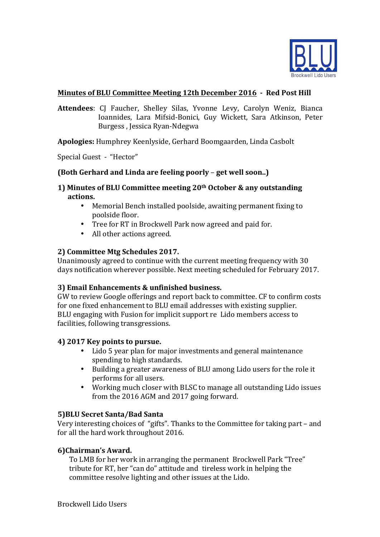

# **Minutes of BLU Committee Meeting 12th December 2016 - Red Post Hill**

Attendees: CJ Faucher, Shelley Silas, Yvonne Levy, Carolyn Weniz, Bianca Ioannides, Lara Mifsid-Bonici, Guy Wickett, Sara Atkinson, Peter Burgess , Jessica Ryan-Ndegwa

Apologies: Humphrey Keenlyside, Gerhard Boomgaarden, Linda Casbolt

Special Guest - "Hector"

### **(Both Gerhard and Linda are feeling poorly - get well soon..)**

- **1)** Minutes of BLU Committee meeting 20<sup>th</sup> October & any outstanding actions.
	- Memorial Bench installed poolside, awaiting permanent fixing to poolside floor.
	- Tree for RT in Brockwell Park now agreed and paid for.
	- All other actions agreed.

### **2) Committee Mtg Schedules 2017.**

Unanimously agreed to continue with the current meeting frequency with 30 days notification wherever possible. Next meeting scheduled for February 2017.

### **3) Email Enhancements & unfinished business.**

GW to review Google offerings and report back to committee. CF to confirm costs for one fixed enhancement to BLU email addresses with existing supplier. BLU engaging with Fusion for implicit support re Lido members access to facilities, following transgressions.

## **4) 2017 Key points to pursue.**

- Lido 5 year plan for major investments and general maintenance spending to high standards.
- Building a greater awareness of BLU among Lido users for the role it performs for all users.
- Working much closer with BLSC to manage all outstanding Lido issues from the 2016 AGM and 2017 going forward.

### **5)BLU Secret Santa/Bad Santa**

Very interesting choices of "gifts". Thanks to the Committee for taking part – and for all the hard work throughout 2016.

### **6)Chairman's Award.**

To LMB for her work in arranging the permanent Brockwell Park "Tree" tribute for RT, her "can do" attitude and tireless work in helping the committee resolve lighting and other issues at the Lido.